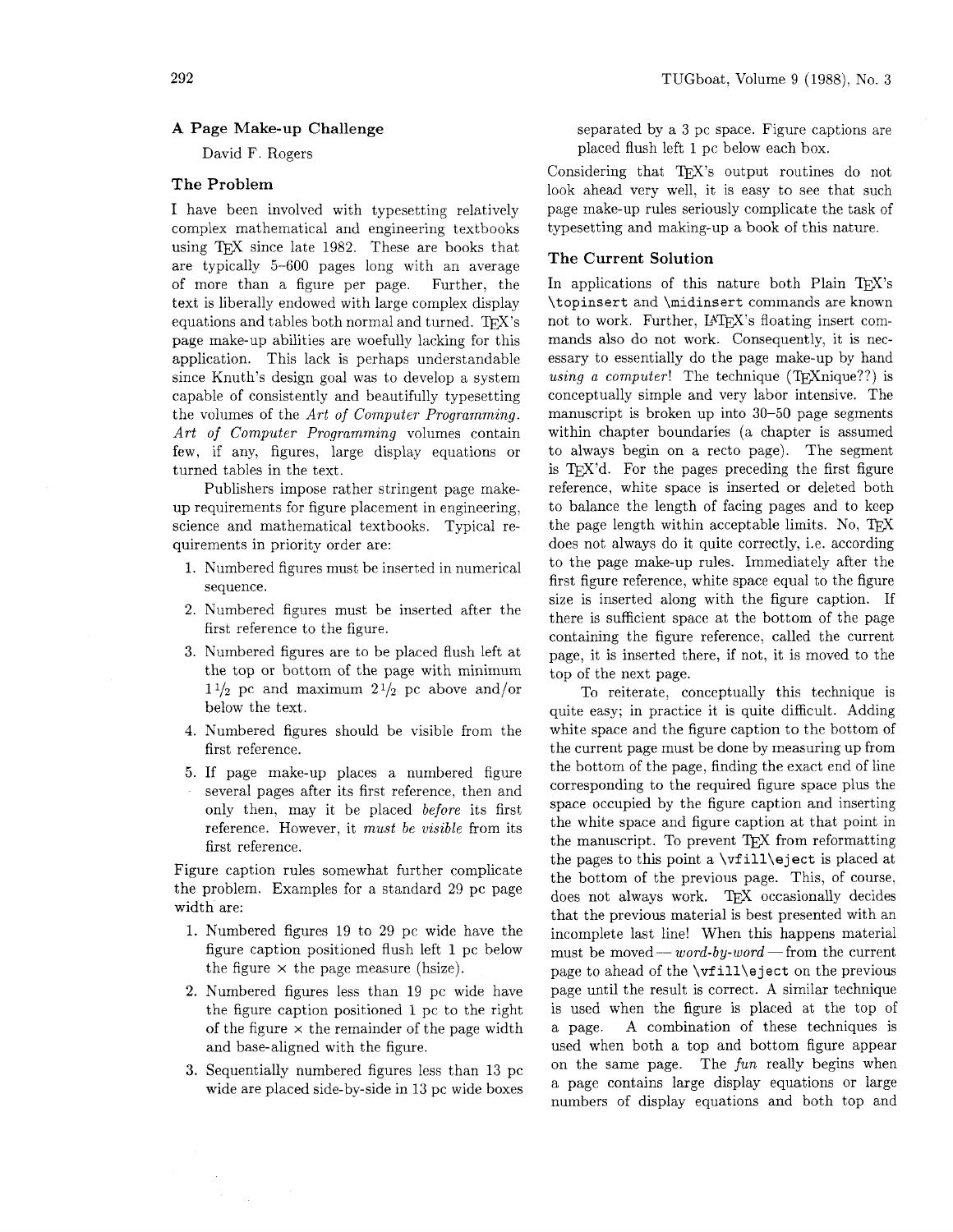# A Page Make-up Challenge

David F. Rogers

# The Problem

I have been involved with typesetting relatively complex mathematical and engineering textbooks using TFX since late  $1982$ . These are books that are typically 5-600 pages long with an average of more than a figure per page. Further, the text is liberally endowed with large complex display equations and tables both normal and turned. TFX's page make-up abilities are woefully lacking for this application. This lack is perhaps understandable since Knuth's design goal was to develop a system capable of consistently and beautifully typesetting the volumes of the *Art of Computer Programming. Art of Computer Programming* volumes contain few. if any, figures, large display equations or turned tables in the text.

Publishers impose rather stringent page makeup requirements for figure placement in engineering, science and mathematical textbooks. Typical requirements in priority order are:

- 1. Numbered figures must be inserted in numerical sequence.
- 2. Numbered figures must be inserted after the first reference to the figure.
- **3.** Numbered figures are to be placed flush left at the top or bottom of the page with minimum  $1\frac{1}{2}$  pc and maximum  $2\frac{1}{2}$  pc above and/or below the text.
- 4. Numbered figures should be visible from the first reference.
- **5.** If page make-up places a numbered figure several pages after its first reference, then and only then, may it be placed *before* its first reference. However, it *must be visible* from its first reference.

Figure caption rules somewhat further complicate the problem. Examples for a standard 29 pc page width are:

- 1. Numbered figures 19 to 29 pc wide have the figure caption positioned flush left 1 pc below the figure  $\times$  the page measure (hsize).
- 2. Numbered figures less than 19 pc wide have the figure caption positioned 1 pc to the right of the figure  $\times$  the remainder of the page width and base-aligned with the figure.
- **3.** Sequentially numbered figures less than 13 pc wide are placed side-by-side in 13 pc wide boxes

separated by a **3** pc space. Figure captions are placed flush left 1 pc below each box.

Considering that TFX's output routines do not look ahead very well, it is easy to see that such page make-up rules seriously complicate the task of typesetting and making-up a book of this nature.

## The Current Solution

In applications of this nature both Plain TFX's \topinsert and \midinsert commands are known not to work. Further, IATFX's floating insert commands also do not work. Consequently, it is necessary to essentially do the page make-up by hand *using a computer!* The technique (T<sub>F</sub>Xnique??) is conceptually simple and very labor intensive. The manuscript is broken up into 30-50 page segments within chapter boundaries (a chapter is assumed to always begin on a recto page). The segment is T<sub>F</sub>X'd. For the pages preceding the first figure reference, white space is inserted or deleted both to balance the length of facing pages and to keep the page length within acceptable limits. No,  $T_{\text{F}}X$ does not always do it quite correctly, i.e. according to the page make-up rules. Immediately after the first figure reference, white space equal to the figure size is inserted along with the figure caption. If there is sufficient space at the bottom of the page containing the figure reference, called the current page, it is inserted there, if not, it is moved to the top of the next page.

To reiterate, conceptually this technique is quite easy; in practice it is quite difficult. Adding white space and the figure caption to the bottom of the current page must be done by measuring up from the bottom of the page, finding the exact end of line corresponding to the required figure space plus the space occupied by the figure caption and inserting the white space and figure caption at that point in the manuscript. To prevent TEX from reformatting the pages to this point a  $\forall$ fill $\arrow$ eject is placed at the bottom of the previous page. This, of course, does not always work. TFX occasionally decides that the previous material is best presented with an incomplete last line! When this happens material that the previous material is best presented with an incomplete last line! When this happens material must be moved — *word-by-word* — from the current page to ahead of the \vfill\eject on the previous page until the result is correct. A similar technique is used when the figure is placed at the top of a page. A combination of these techniques is used when both a top and bottom figure appear on the same page. The *fun* really begins when a page contains large display equations or large numbers of display equations and both top and